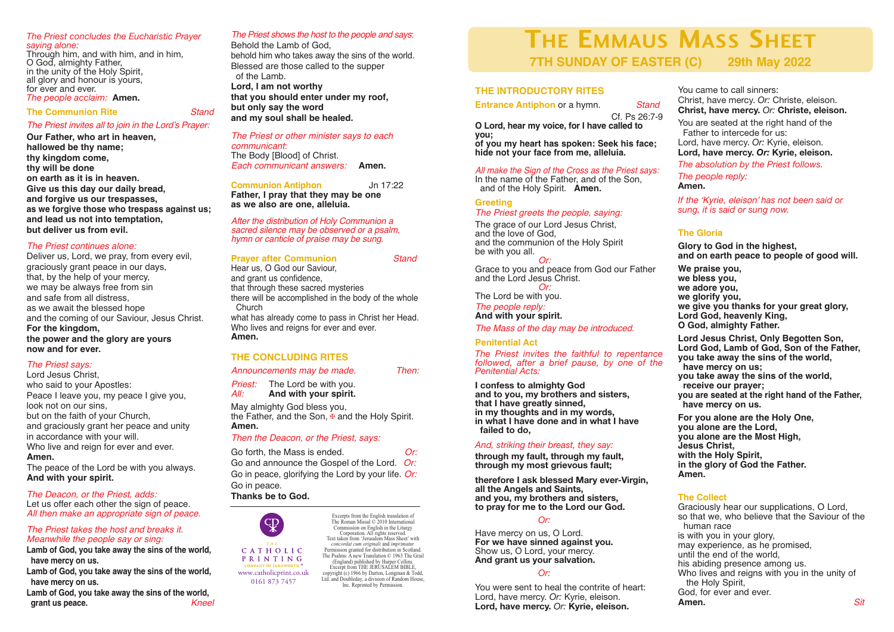# *The Priest concludes the Eucharistic Prayer*

Through him, and with him, and in him,<br>O God, almighty Father,<br>in the unity of the Holy Spirit,<br>all glory and honour is yours,<br>for ever and ever.

#### **The Communion Rite** *Stand*

#### *The Priest invites all to join in the Lord's Prayer:*

**Our Father, who art in heaven, hallowed be thy name; thy kingdom come, thy will be done on earth as it is in heaven. Give us this day our daily bread, and forgive us our trespasses, as we forgive those who trespass against us; and lead us not into temptation, but deliver us from evil.**

#### *The Priest continues alone:*

Deliver us, Lord, we pray, from every evil, graciously grant peace in our days, that, by the help of your mercy, we may be always free from sin and safe from all distress, as we await the blessed hope and the coming of our Saviour, Jesus Christ. **For the kingdom, the power and the glory are yours now and for ever.**

### *The Priest says:*

Lord Jesus Christ, who said to your Apostles: Peace I leave you, my peace I give you, look not on our sins, but on the faith of your Church, and graciously grant her peace and unity in accordance with your will. Who live and reign for ever and ever. **Amen.**

The peace of the Lord be with you always. **And with your spirit.**

#### *The Deacon, or the Priest, adds:*

Let us offer each other the sign of peace. *All then make an appropriate sign of peace.*

# *The Priest takes the host and breaks it. Meanwhile the people say or sing:*

**Lamb of God, you take away the sins of the world, have mercy on us.**

**Lamb of God, you take away the sins of the world, have mercy on us.**

**Lamb of God, you take away the sins of the world, grant us peace.** *Kneel*

### *The Priest shows the host to the people and says*:

Behold the Lamb of God, behold him who takes away the sins of the world. Blessed are those called to the supper of the Lamb. **Lord, I am not worthy that you should enter under my roof, but only say the word and my soul shall be healed.**

#### *The Priest or other minister says to each communicant*:

The Body [Blood] of Christ. *Each communicant answers:* **Amen.**

# **Communion Antiphon** Jn 17:22

**Father, I pray that they may be one as we also are one, alleluia.**

*After the distribution of Holy Communion a sacred silence may be observed or <sup>a</sup> psalm, hymn or canticle of praise may be sung.*

#### **Prayer after Communion** *Stand*

Hear us, O God our Saviour, and grant us confidence, that through these sacred mysteries there will be accomplished in the body of the whole Church what has already come to pass in Christ her Head.

Who lives and reigns for ever and ever. **Amen.**

# **THE CONCLUDING RITES**

*Announcements may be made. Then:*

**Priest:** The Lord be with you.<br>*All:* **And with your spirit.** *All:* **And with your spirit.**

May almighty God bless you, the Father, and the Son, ⊕ and the Holy Spirit. **Amen.**

### *Then the Deacon, or the Priest, says:*

| Go forth, the Mass is ended.                       | Or: |
|----------------------------------------------------|-----|
| Go and announce the Gospel of the Lord. Or:        |     |
| Go in peace, glorifying the Lord by your life. Or: |     |
| Go in peace.                                       |     |

**Thanks be to God.**



PRINTING www.catholicprint.co.uk

0161 873 7457

Text taken from 'Jerusalem Mass Sheet' with *concordat cum originali* and *imprimatur.* Permission granted for distribution in Scotland. The Psalms: A new Translation © 1963 The Grail (England) published by Harper Collins. Excernt from THE JERUSALEM BIBLE copyright (c) 1966 by Darton, Longman & Todd, Ltd. and Doubleday, a division of Random House, Inc. Reprinted by Permission.

Excerpts from the English translation of The Roman Missal © 2010 International Commission on English in the Liturgy Corporation. All rights reserved.

# **THE EMMAUS MASS SHEET**<br>7TH SUNDAY OF EASTER (C) 29th May 2022 **7TH SUNDAY OF EASTER (C) 29th May 2022**

# **THE INTRODUCTORY RITES**

**Entrance Antiphon** or a hymn. *Stand*

Cf. Ps 26:7-9 **O Lord, hear my voice, for I have called to you;**

**of you my heart has spoken: Seek his face; hide not your face from me, alleluia.**

# *All make the Sign of the Cross as the Priest says:*

and of the Holy Spirit. **Amen.** 

# **Greeting**

#### *The Priest greets the people, saying:*

The grace of our Lord Jesus Christ, and the love of God, and the communion of the Holy Spirit be with you all.

*Or:*<br>Grace to you and peace from God our Father<br>and the Lord Jesus Christ.

*Or:*<br>The Lord be with you.<br>*The people reply:* 

*The people reply:* **And with your spirit.**

*The Mass of the day may be introduced.*

#### **Penitential Act**

*The Priest invites the faithful to repentance followed, after a brief pause, by one of the Penitential Acts:*

**I confess to almighty God** and to you, my brothers and sisters,<br>that I have greatly sinned,<br>in my thoughts and in my words,<br>in what I have done and in what I have **failed to do,**

# *And, striking their breast, they say:*

**through my fault, through my fault, through my most grievous fault;**

therefore I ask blessed Mary ever-Virgin,<br>all the Angels and Saints,<br>and you, my brothers and sisters,<br>to pray for me to the Lord our God.

### *Or:*

Have mercy on us, <sup>O</sup> Lord. **For we have sinned against you.** And grant us your salvation.

#### *Or:*

You were sent to heal the contrite of heart: Lord, have mercy. *Or:* Kyrie, eleison. **Lord, have mercy.** *Or:* **Kyrie, eleison.**

You came to call sinners: Christ, have mercy. *Or:* Christe, eleison. **Christ, have mercy.** *Or:* **Christe, eleison.** You are seated at the right hand of the Father to intercede for us: Lord, have mercy. *Or:* Kyrie, eleison.

**Lord, have mercy.** *Or:* **Kyrie, eleison.**

*The absolution by the Priest follows.*

*The people reply:* **Amen.**

*If the 'Kyrie, eleison' has not been said or sung, it is said or sung now.*

# **The Gloria**

**Glory to God in the highest, and on earth peace to people of good will.**

**We praise you, we bless you, we adore you, we glorify you, we give you thanks for your great glory, Lord God, heavenly King, O God, almighty Father.**

**Lord Jesus Christ, Only Begotten Son, Lord God, Lamb of God, Son of the Father, you take away the sins of the world, have mercy on us; you take away the sins of the world, receive our prayer; you are seated at the right hand of the Father, have mercy on us.**

**For you alone are the Holy One, you alone are the Lord, you alone are the Most High, Jesus Christ, with the Holy Spirit, in the glory of God the Father. Amen.**

### **The Collect**

Graciously hear our supplications, O Lord, so that we, who believe that the Saviour of the human race is with you in your glory, may experience, as he promised, until the end of the world, his abiding presence among us. Who lives and reigns with you in the unity of the Holy Spirit, God, for ever and ever.<br>**Amen Amen.** *Sit*